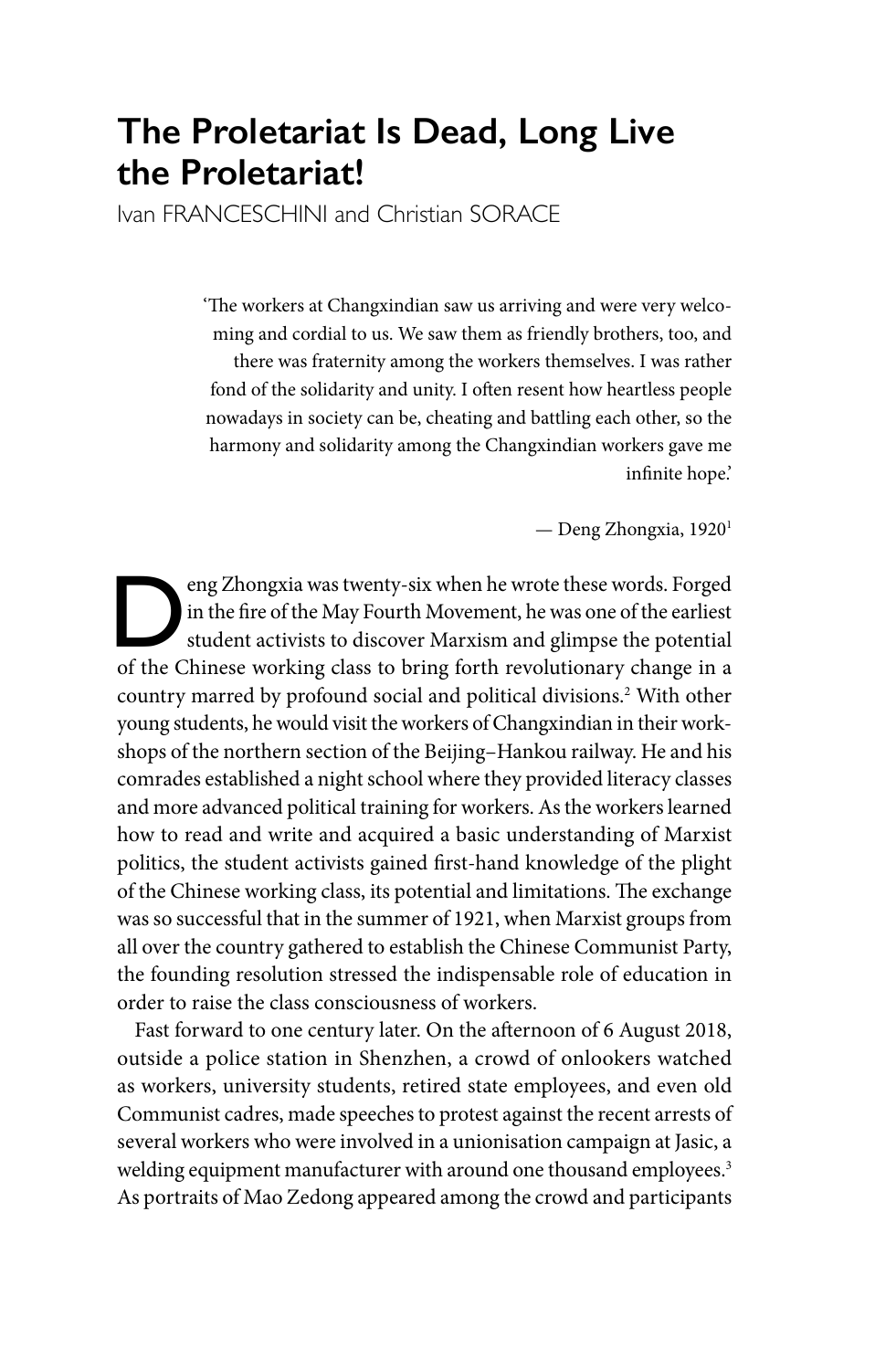# **The Proletariat Is Dead, Long Live the Proletariat!**

Ivan FRANCESCHINI and Christian SORACE

'The workers at Changxindian saw us arriving and were very welcoming and cordial to us. We saw them as friendly brothers, too, and there was fraternity among the workers themselves. I was rather fond of the solidarity and unity. I often resent how heartless people nowadays in society can be, cheating and battling each other, so the harmony and solidarity among the Changxindian workers gave me infinite hope.'

— Deng Zhongxia, 19201

eng Zhongxia was twenty-six when he wrote these words. Forged<br>in the fire of the May Fourth Movement, he was one of the earliest<br>student activists to discover Marxism and glimpse the potential<br>of the Chinese working class in the fire of the May Fourth Movement, he was one of the earliest student activists to discover Marxism and glimpse the potential of the Chinese working class to bring forth revolutionary change in a country marred by profound social and political divisions.2 With other young students, he would visit the workers of Changxindian in their workshops of the northern section of the Beijing–Hankou railway. He and his comrades established a night school where they provided literacy classes and more advanced political training for workers. As the workers learned how to read and write and acquired a basic understanding of Marxist politics, the student activists gained first-hand knowledge of the plight of the Chinese working class, its potential and limitations. The exchange was so successful that in the summer of 1921, when Marxist groups from all over the country gathered to establish the Chinese Communist Party, the founding resolution stressed the indispensable role of education in order to raise the class consciousness of workers.

Fast forward to one century later. On the afternoon of 6 August 2018, outside a police station in Shenzhen, a crowd of onlookers watched as workers, university students, retired state employees, and even old Communist cadres, made speeches to protest against the recent arrests of several workers who were involved in a unionisation campaign at Jasic, a welding equipment manufacturer with around one thousand employees.<sup>3</sup> As portraits of Mao Zedong appeared among the crowd and participants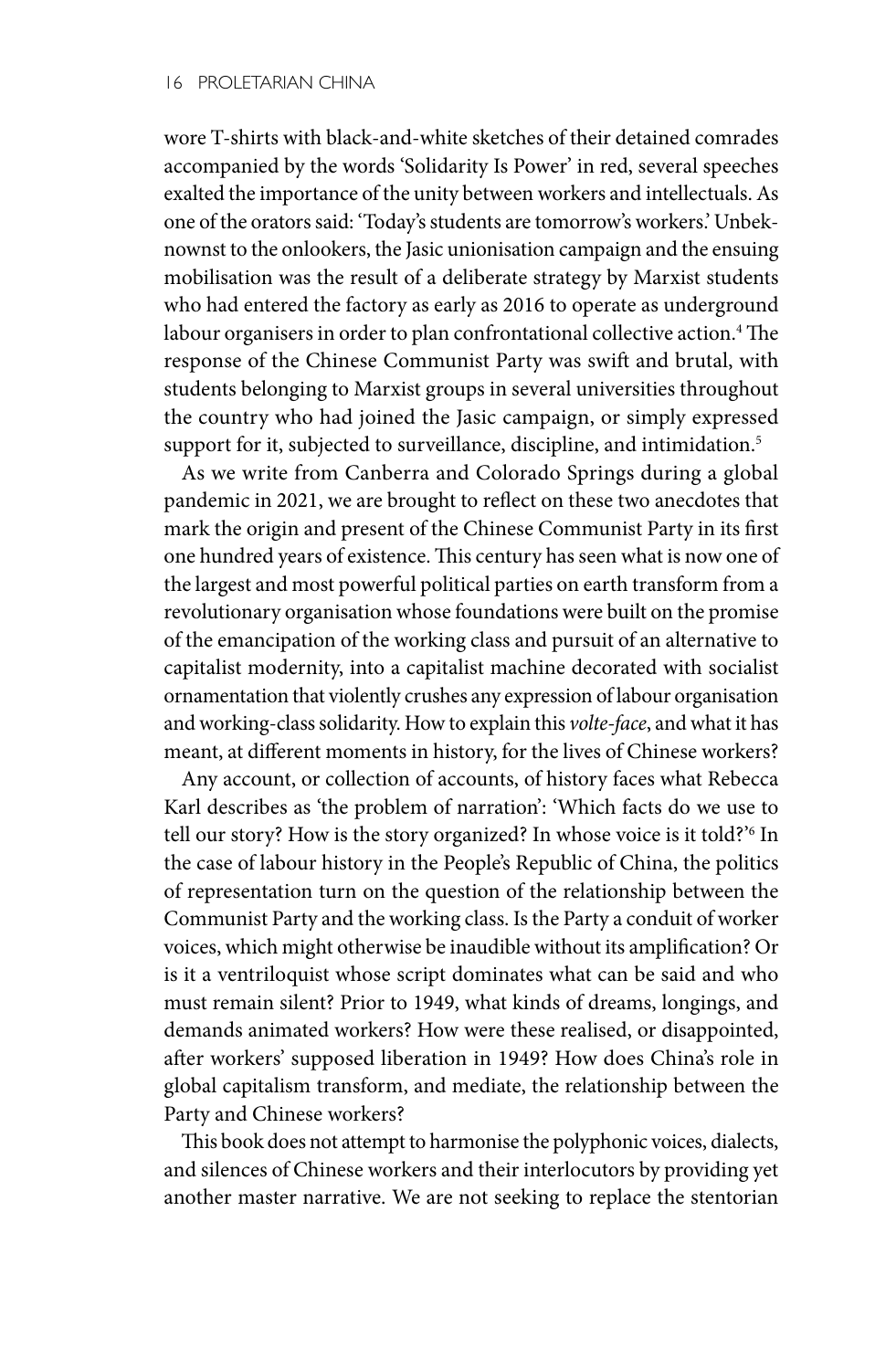wore T-shirts with black-and-white sketches of their detained comrades accompanied by the words 'Solidarity Is Power' in red, several speeches exalted the importance of the unity between workers and intellectuals. As one of the orators said: 'Today's students are tomorrow's workers.' Unbeknownst to the onlookers, the Jasic unionisation campaign and the ensuing mobilisation was the result of a deliberate strategy by Marxist students who had entered the factory as early as 2016 to operate as underground labour organisers in order to plan confrontational collective action.4 The response of the Chinese Communist Party was swift and brutal, with students belonging to Marxist groups in several universities throughout the country who had joined the Jasic campaign, or simply expressed support for it, subjected to surveillance, discipline, and intimidation.<sup>5</sup>

As we write from Canberra and Colorado Springs during a global pandemic in 2021, we are brought to reflect on these two anecdotes that mark the origin and present of the Chinese Communist Party in its first one hundred years of existence. This century has seen what is now one of the largest and most powerful political parties on earth transform from a revolutionary organisation whose foundations were built on the promise of the emancipation of the working class and pursuit of an alternative to capitalist modernity, into a capitalist machine decorated with socialist ornamentation that violently crushes any expression of labour organisation and working-class solidarity. How to explain this *volte-face*, and what it has meant, at different moments in history, for the lives of Chinese workers?

Any account, or collection of accounts, of history faces what Rebecca Karl describes as 'the problem of narration': 'Which facts do we use to tell our story? How is the story organized? In whose voice is it told?'6 In the case of labour history in the People's Republic of China, the politics of representation turn on the question of the relationship between the Communist Party and the working class. Is the Party a conduit of worker voices, which might otherwise be inaudible without its amplification? Or is it a ventriloquist whose script dominates what can be said and who must remain silent? Prior to 1949, what kinds of dreams, longings, and demands animated workers? How were these realised, or disappointed, after workers' supposed liberation in 1949? How does China's role in global capitalism transform, and mediate, the relationship between the Party and Chinese workers?

This book does not attempt to harmonise the polyphonic voices, dialects, and silences of Chinese workers and their interlocutors by providing yet another master narrative. We are not seeking to replace the stentorian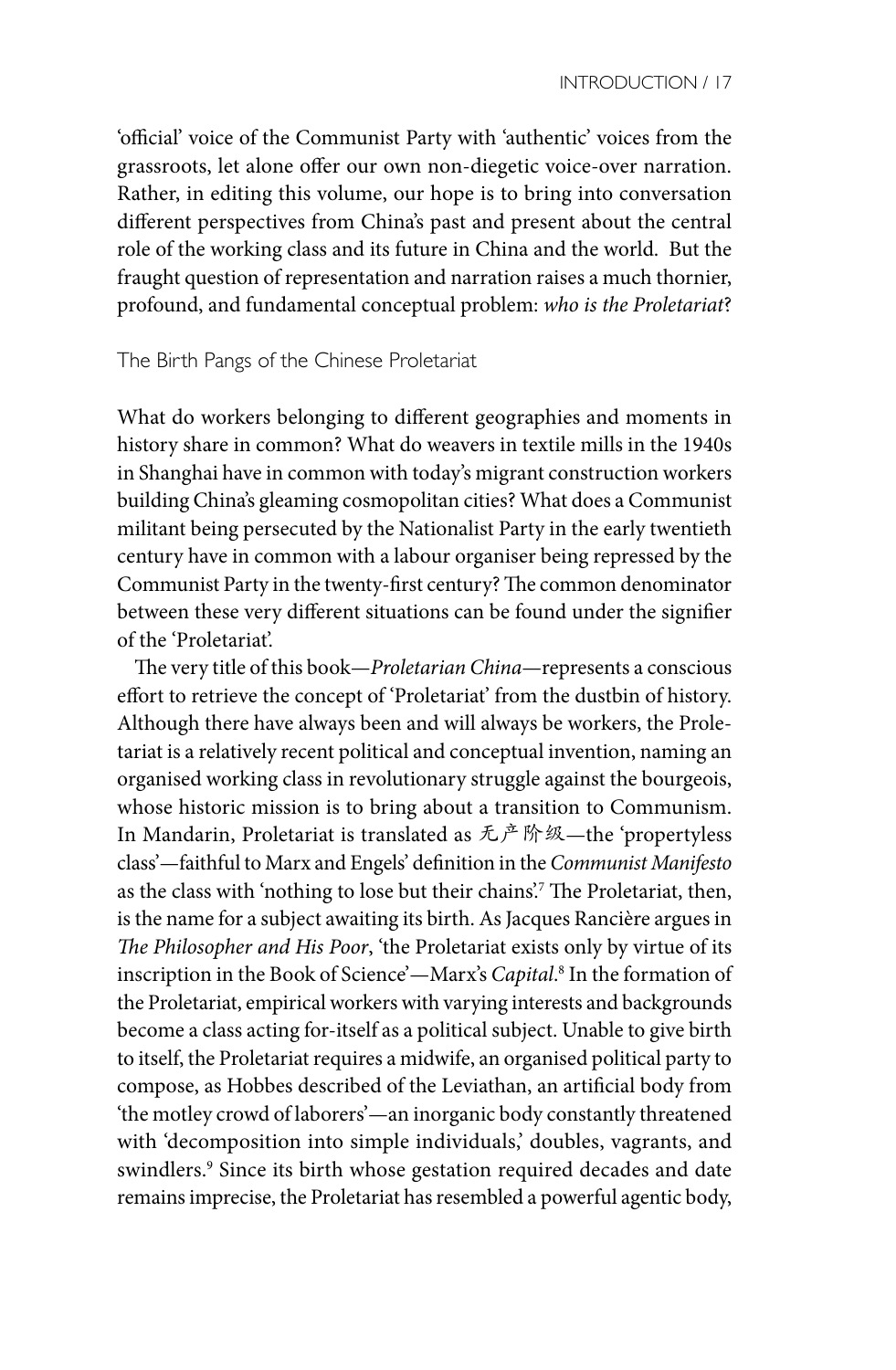'official' voice of the Communist Party with 'authentic' voices from the grassroots, let alone offer our own non-diegetic voice-over narration. Rather, in editing this volume, our hope is to bring into conversation different perspectives from China's past and present about the central role of the working class and its future in China and the world. But the fraught question of representation and narration raises a much thornier, profound, and fundamental conceptual problem: *who is the Proletariat*?

## The Birth Pangs of the Chinese Proletariat

What do workers belonging to different geographies and moments in history share in common? What do weavers in textile mills in the 1940s in Shanghai have in common with today's migrant construction workers building China's gleaming cosmopolitan cities? What does a Communist militant being persecuted by the Nationalist Party in the early twentieth century have in common with a labour organiser being repressed by the Communist Party in the twenty-first century? The common denominator between these very different situations can be found under the signifier of the 'Proletariat'.

The very title of this book—*Proletarian China*—represents a conscious effort to retrieve the concept of 'Proletariat' from the dustbin of history. Although there have always been and will always be workers, the Proletariat is a relatively recent political and conceptual invention, naming an organised working class in revolutionary struggle against the bourgeois, whose historic mission is to bring about a transition to Communism. In Mandarin, Proletariat is translated as 无产阶级—the 'propertyless class'—faithful to Marx and Engels' definition in the *Communist Manifesto* as the class with 'nothing to lose but their chains'.7 The Proletariat, then, is the name for a subject awaiting its birth. As Jacques Rancière argues in *The Philosopher and His Poor*, 'the Proletariat exists only by virtue of its inscription in the Book of Science'—Marx's *Capital*. 8 In the formation of the Proletariat, empirical workers with varying interests and backgrounds become a class acting for-itself as a political subject. Unable to give birth to itself, the Proletariat requires a midwife, an organised political party to compose, as Hobbes described of the Leviathan, an artificial body from 'the motley crowd of laborers'—an inorganic body constantly threatened with 'decomposition into simple individuals,' doubles, vagrants, and swindlers.9 Since its birth whose gestation required decades and date remains imprecise, the Proletariat has resembled a powerful agentic body,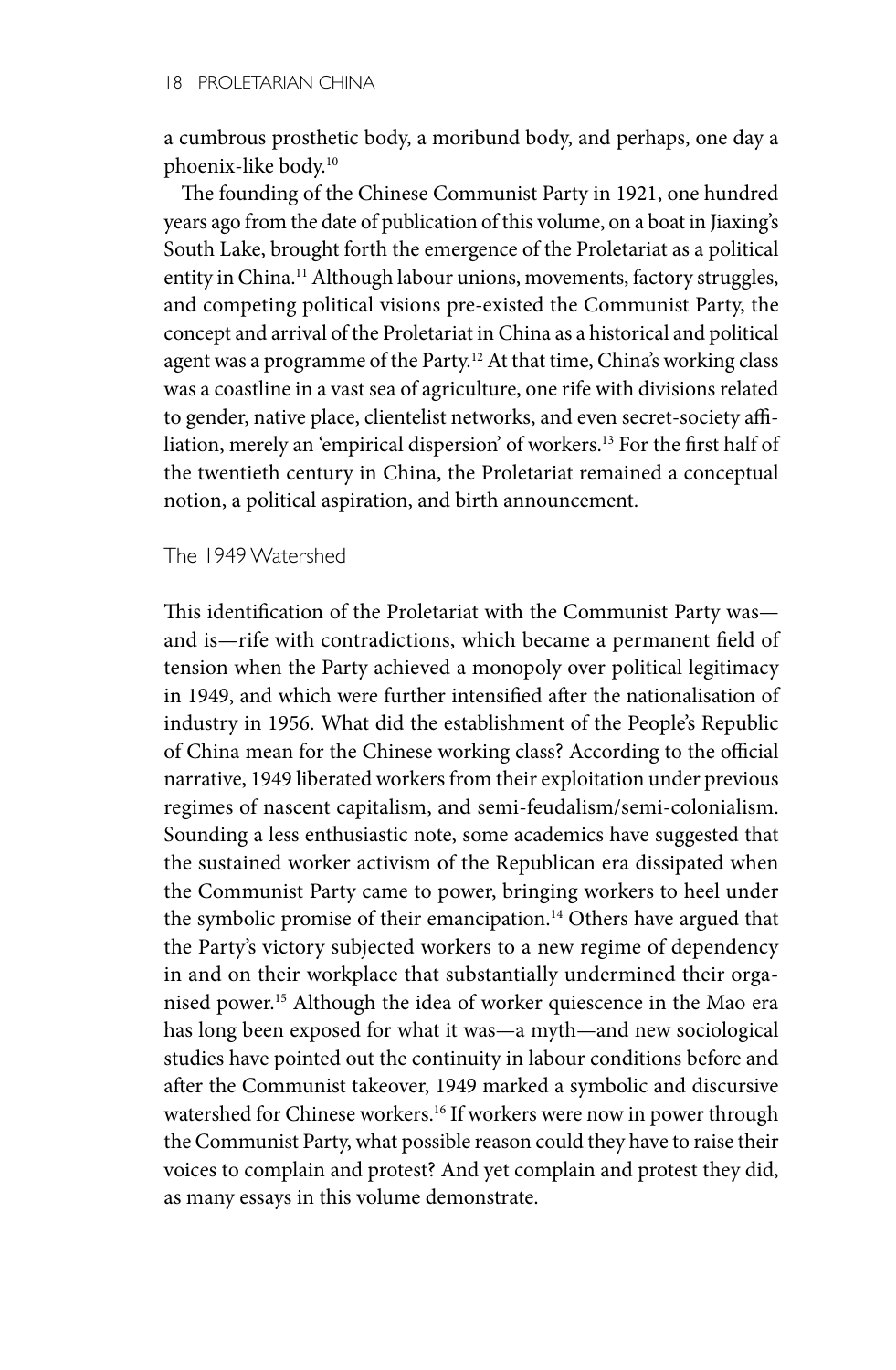a cumbrous prosthetic body, a moribund body, and perhaps, one day a phoenix-like body.10

The founding of the Chinese Communist Party in 1921, one hundred years ago from the date of publication of this volume, on a boat in Jiaxing's South Lake, brought forth the emergence of the Proletariat as a political entity in China.<sup>11</sup> Although labour unions, movements, factory struggles, and competing political visions pre-existed the Communist Party, the concept and arrival of the Proletariat in China as a historical and political agent was a programme of the Party.12 At that time, China's working class was a coastline in a vast sea of agriculture, one rife with divisions related to gender, native place, clientelist networks, and even secret-society affiliation, merely an 'empirical dispersion' of workers.13 For the first half of the twentieth century in China, the Proletariat remained a conceptual notion, a political aspiration, and birth announcement.

The 1949 Watershed

This identification of the Proletariat with the Communist Party was and is—rife with contradictions, which became a permanent field of tension when the Party achieved a monopoly over political legitimacy in 1949, and which were further intensified after the nationalisation of industry in 1956. What did the establishment of the People's Republic of China mean for the Chinese working class? According to the official narrative, 1949 liberated workers from their exploitation under previous regimes of nascent capitalism, and semi-feudalism/semi-colonialism. Sounding a less enthusiastic note, some academics have suggested that the sustained worker activism of the Republican era dissipated when the Communist Party came to power, bringing workers to heel under the symbolic promise of their emancipation.<sup>14</sup> Others have argued that the Party's victory subjected workers to a new regime of dependency in and on their workplace that substantially undermined their organised power.15 Although the idea of worker quiescence in the Mao era has long been exposed for what it was—a myth—and new sociological studies have pointed out the continuity in labour conditions before and after the Communist takeover, 1949 marked a symbolic and discursive watershed for Chinese workers.<sup>16</sup> If workers were now in power through the Communist Party, what possible reason could they have to raise their voices to complain and protest? And yet complain and protest they did, as many essays in this volume demonstrate.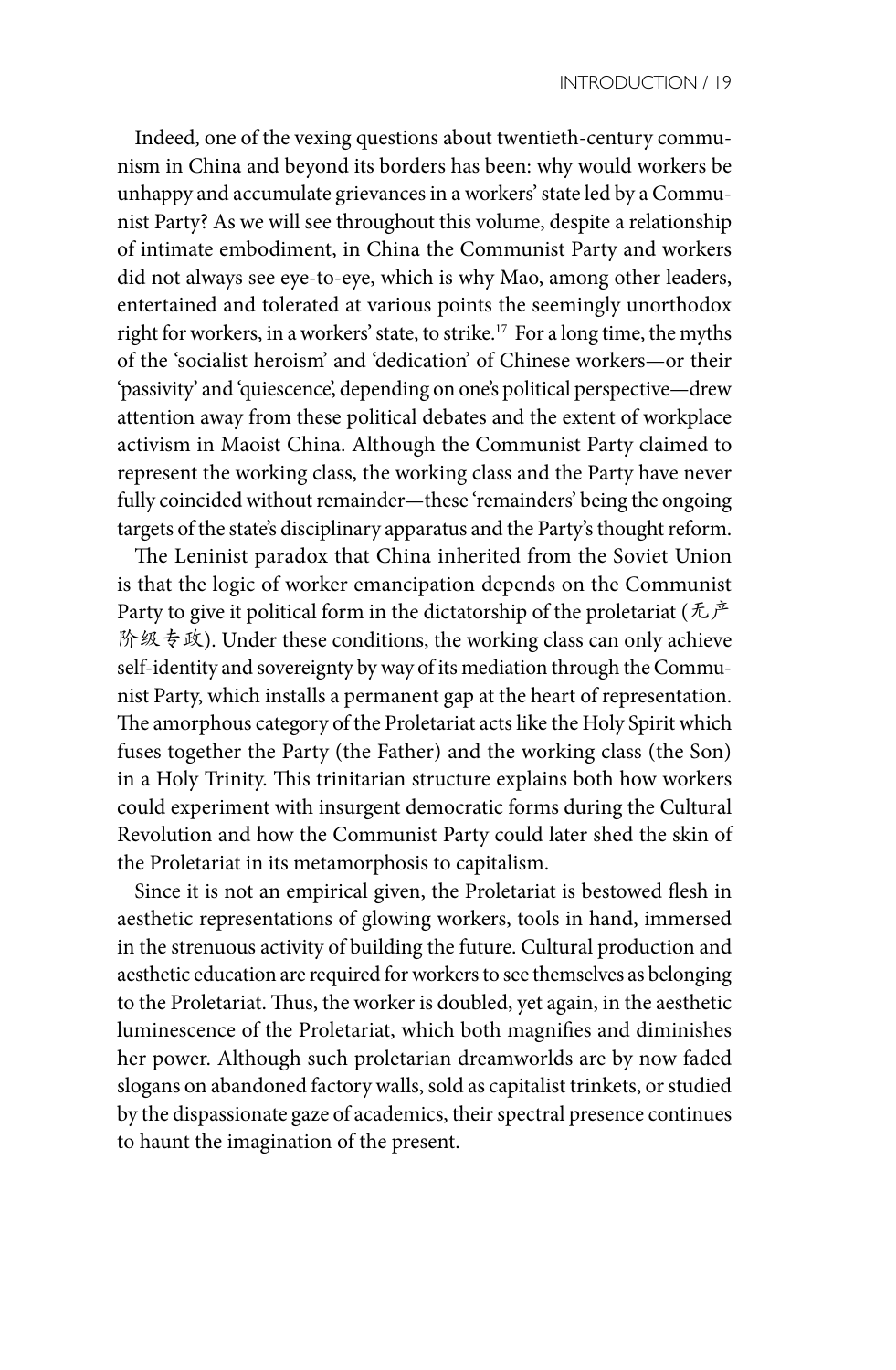Indeed, one of the vexing questions about twentieth-century communism in China and beyond its borders has been: why would workers be unhappy and accumulate grievances in a workers' state led by a Communist Party? As we will see throughout this volume, despite a relationship of intimate embodiment, in China the Communist Party and workers did not always see eye-to-eye, which is why Mao, among other leaders, entertained and tolerated at various points the seemingly unorthodox right for workers, in a workers' state, to strike.<sup>17</sup> For a long time, the myths of the 'socialist heroism' and 'dedication' of Chinese workers—or their 'passivity' and 'quiescence', depending on one's political perspective—drew attention away from these political debates and the extent of workplace activism in Maoist China. Although the Communist Party claimed to represent the working class, the working class and the Party have never fully coincided without remainder—these 'remainders' being the ongoing targets of the state's disciplinary apparatus and the Party's thought reform.

The Leninist paradox that China inherited from the Soviet Union is that the logic of worker emancipation depends on the Communist Party to give it political form in the dictatorship of the proletariat ( $\hbar \dot{P}$ 阶级专政). Under these conditions, the working class can only achieve self-identity and sovereignty by way of its mediation through the Communist Party, which installs a permanent gap at the heart of representation. The amorphous category of the Proletariat acts like the Holy Spirit which fuses together the Party (the Father) and the working class (the Son) in a Holy Trinity. This trinitarian structure explains both how workers could experiment with insurgent democratic forms during the Cultural Revolution and how the Communist Party could later shed the skin of the Proletariat in its metamorphosis to capitalism.

Since it is not an empirical given, the Proletariat is bestowed flesh in aesthetic representations of glowing workers, tools in hand, immersed in the strenuous activity of building the future. Cultural production and aesthetic education are required for workers to see themselves as belonging to the Proletariat. Thus, the worker is doubled, yet again, in the aesthetic luminescence of the Proletariat, which both magnifies and diminishes her power. Although such proletarian dreamworlds are by now faded slogans on abandoned factory walls, sold as capitalist trinkets, or studied by the dispassionate gaze of academics, their spectral presence continues to haunt the imagination of the present.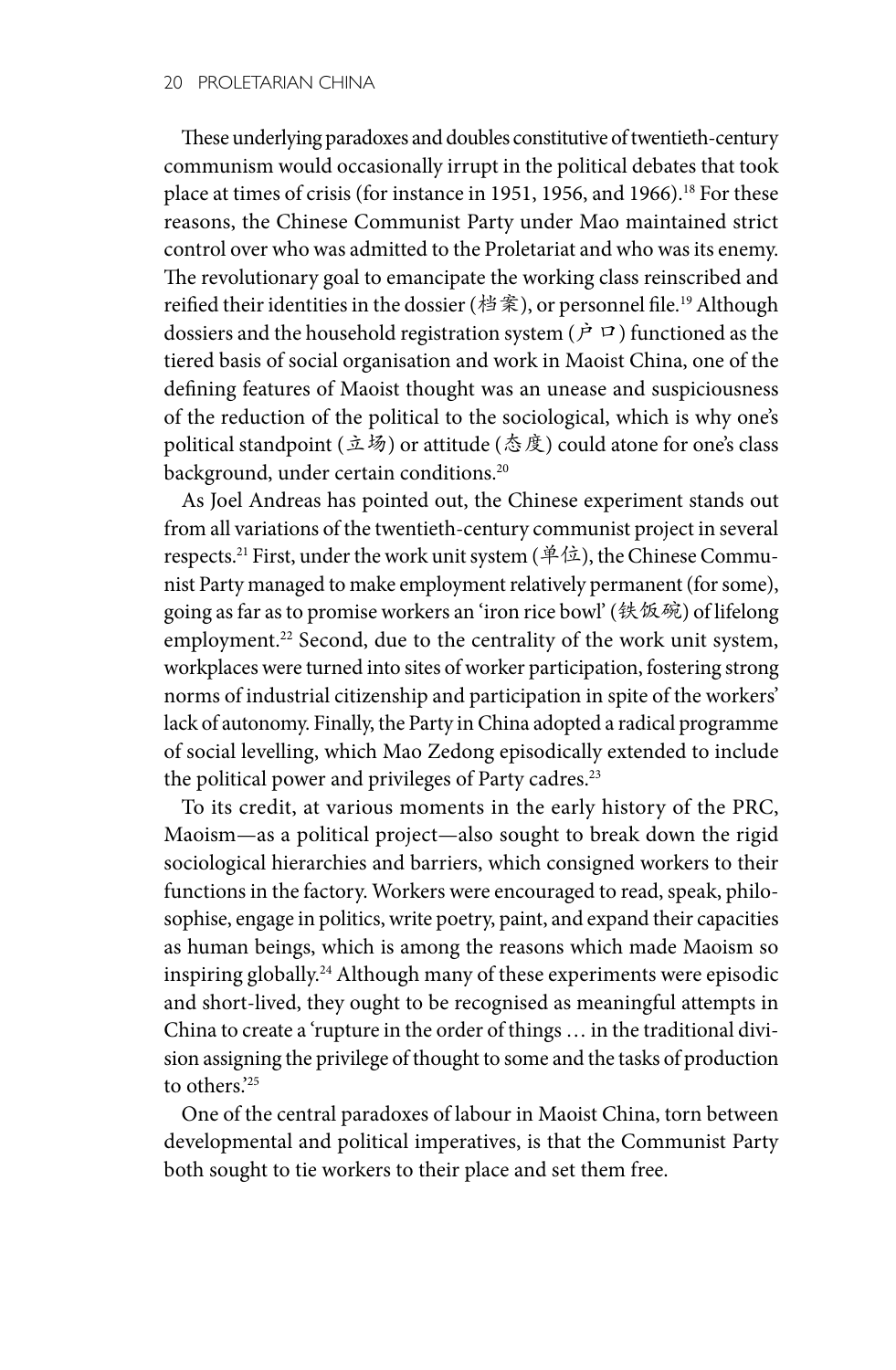These underlying paradoxes and doubles constitutive of twentieth-century communism would occasionally irrupt in the political debates that took place at times of crisis (for instance in 1951, 1956, and 1966).<sup>18</sup> For these reasons, the Chinese Communist Party under Mao maintained strict control over who was admitted to the Proletariat and who was its enemy. The revolutionary goal to emancipate the working class reinscribed and reified their identities in the dossier (档案), or personnel file.<sup>19</sup> Although dossiers and the household registration system ( $\dot{P}$  $\Box$ ) functioned as the tiered basis of social organisation and work in Maoist China, one of the defining features of Maoist thought was an unease and suspiciousness of the reduction of the political to the sociological, which is why one's political standpoint (立场) or attitude (态度) could atone for one's class background, under certain conditions.<sup>20</sup>

As Joel Andreas has pointed out, the Chinese experiment stands out from all variations of the twentieth-century communist project in several respects.21 First, under the work unit system (单位), the Chinese Communist Party managed to make employment relatively permanent (for some), going as far as to promise workers an 'iron rice bowl' (铁饭碗) of lifelong employment.<sup>22</sup> Second, due to the centrality of the work unit system, workplaces were turned into sites of worker participation, fostering strong norms of industrial citizenship and participation in spite of the workers' lack of autonomy. Finally, the Party in China adopted a radical programme of social levelling, which Mao Zedong episodically extended to include the political power and privileges of Party cadres.<sup>23</sup>

To its credit, at various moments in the early history of the PRC, Maoism—as a political project—also sought to break down the rigid sociological hierarchies and barriers, which consigned workers to their functions in the factory. Workers were encouraged to read, speak, philosophise, engage in politics, write poetry, paint, and expand their capacities as human beings, which is among the reasons which made Maoism so inspiring globally.24 Although many of these experiments were episodic and short-lived, they ought to be recognised as meaningful attempts in China to create a 'rupture in the order of things … in the traditional division assigning the privilege of thought to some and the tasks of production to others.'25

One of the central paradoxes of labour in Maoist China, torn between developmental and political imperatives, is that the Communist Party both sought to tie workers to their place and set them free.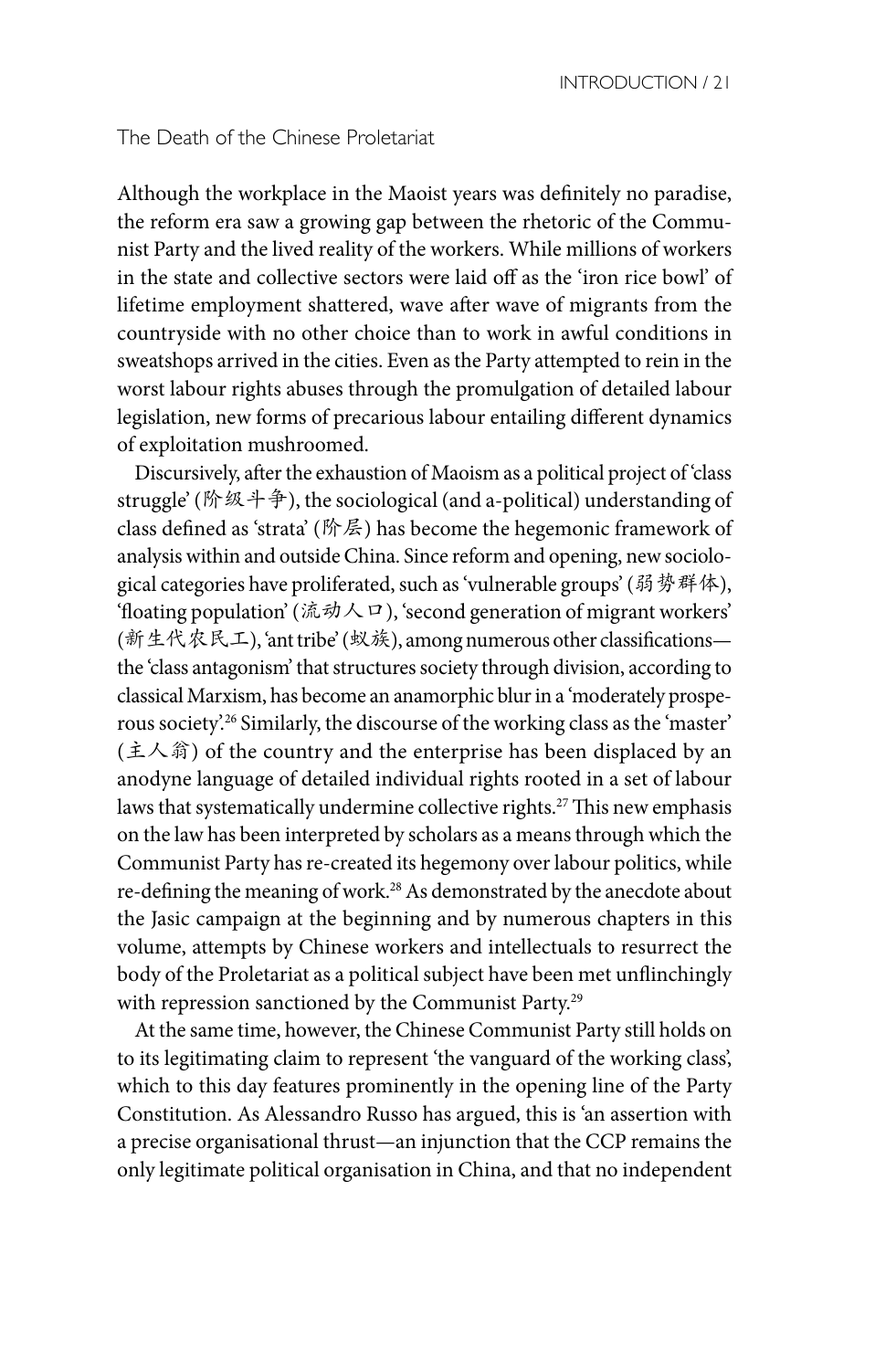#### The Death of the Chinese Proletariat

Although the workplace in the Maoist years was definitely no paradise, the reform era saw a growing gap between the rhetoric of the Communist Party and the lived reality of the workers. While millions of workers in the state and collective sectors were laid off as the 'iron rice bowl' of lifetime employment shattered, wave after wave of migrants from the countryside with no other choice than to work in awful conditions in sweatshops arrived in the cities. Even as the Party attempted to rein in the worst labour rights abuses through the promulgation of detailed labour legislation, new forms of precarious labour entailing different dynamics of exploitation mushroomed.

Discursively, after the exhaustion of Maoism as a political project of 'class struggle' (阶级斗争), the sociological (and a-political) understanding of class defined as 'strata' (阶层) has become the hegemonic framework of analysis within and outside China. Since reform and opening, new sociological categories have proliferated, such as 'vulnerable groups' (弱势群体), 'floating population' (流动人口), 'second generation of migrant workers' (新生代农民工), 'ant tribe' (蚁族), among numerous other classifications the 'class antagonism' that structures society through division, according to classical Marxism, has become an anamorphic blur in a 'moderately prosperous society'.26 Similarly, the discourse of the working class as the 'master' (主人翁) of the country and the enterprise has been displaced by an anodyne language of detailed individual rights rooted in a set of labour laws that systematically undermine collective rights.<sup>27</sup> This new emphasis on the law has been interpreted by scholars as a means through which the Communist Party has re-created its hegemony over labour politics, while re-defining the meaning of work.28 As demonstrated by the anecdote about the Jasic campaign at the beginning and by numerous chapters in this volume, attempts by Chinese workers and intellectuals to resurrect the body of the Proletariat as a political subject have been met unflinchingly with repression sanctioned by the Communist Party.29

At the same time, however, the Chinese Communist Party still holds on to its legitimating claim to represent 'the vanguard of the working class', which to this day features prominently in the opening line of the Party Constitution. As Alessandro Russo has argued, this is 'an assertion with a precise organisational thrust—an injunction that the CCP remains the only legitimate political organisation in China, and that no independent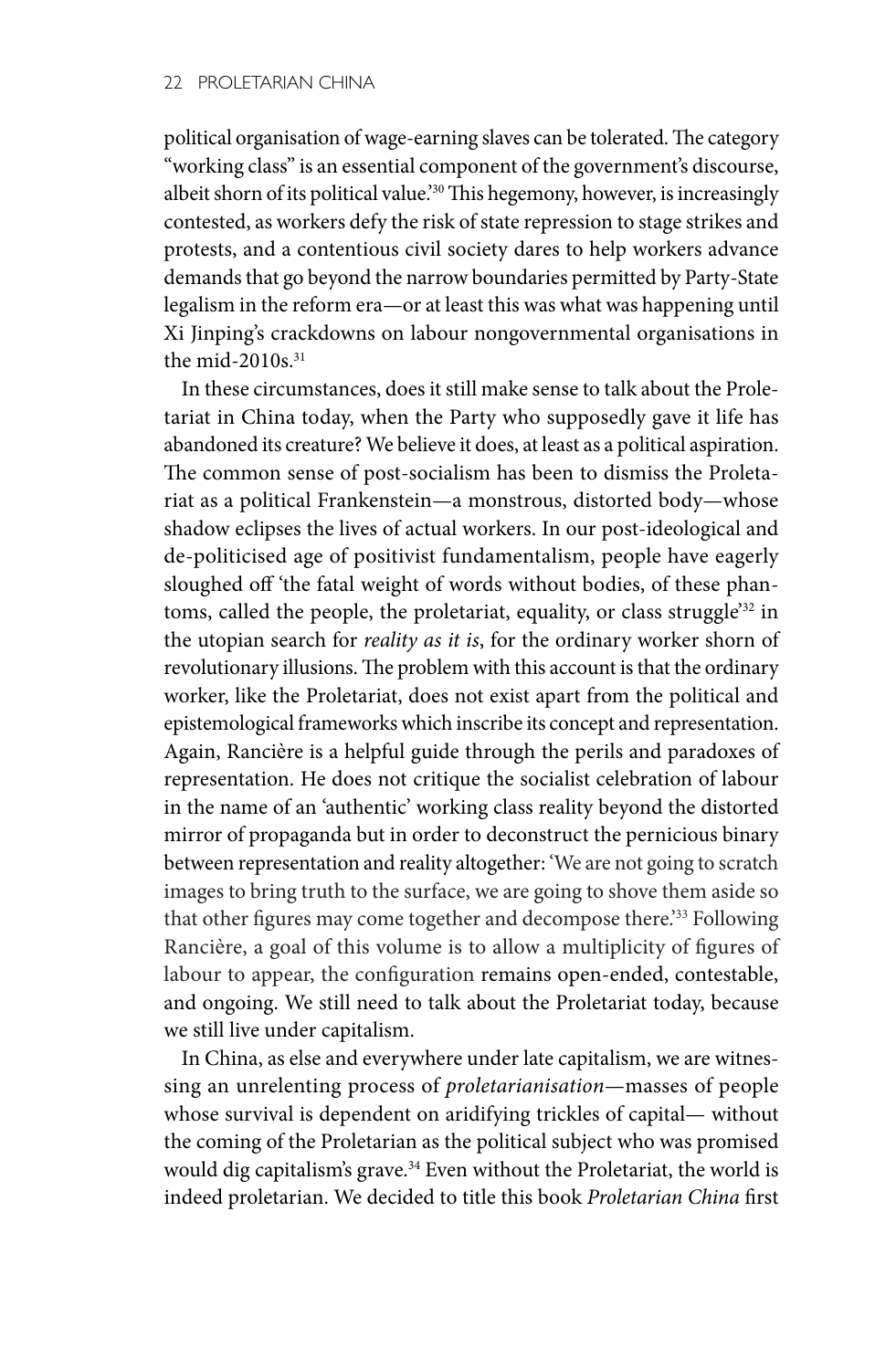political organisation of wage-earning slaves can be tolerated. The category "working class" is an essential component of the government's discourse, albeit shorn of its political value.'30 This hegemony, however, is increasingly contested, as workers defy the risk of state repression to stage strikes and protests, and a contentious civil society dares to help workers advance demands that go beyond the narrow boundaries permitted by Party-State legalism in the reform era—or at least this was what was happening until Xi Jinping's crackdowns on labour nongovernmental organisations in the mid- $2010s$ <sup>31</sup>

In these circumstances, does it still make sense to talk about the Proletariat in China today, when the Party who supposedly gave it life has abandoned its creature? We believe it does, at least as a political aspiration. The common sense of post-socialism has been to dismiss the Proletariat as a political Frankenstein—a monstrous, distorted body—whose shadow eclipses the lives of actual workers. In our post-ideological and de-politicised age of positivist fundamentalism, people have eagerly sloughed off 'the fatal weight of words without bodies, of these phantoms, called the people, the proletariat, equality, or class struggle<sup>'32</sup> in the utopian search for *reality as it is*, for the ordinary worker shorn of revolutionary illusions. The problem with this account is that the ordinary worker, like the Proletariat, does not exist apart from the political and epistemological frameworks which inscribe its concept and representation. Again, Rancière is a helpful guide through the perils and paradoxes of representation. He does not critique the socialist celebration of labour in the name of an 'authentic' working class reality beyond the distorted mirror of propaganda but in order to deconstruct the pernicious binary between representation and reality altogether: 'We are not going to scratch images to bring truth to the surface, we are going to shove them aside so that other figures may come together and decompose there.<sup>'33</sup> Following Rancière, a goal of this volume is to allow a multiplicity of figures of labour to appear, the configuration remains open-ended, contestable, and ongoing. We still need to talk about the Proletariat today, because we still live under capitalism.

In China, as else and everywhere under late capitalism, we are witnessing an unrelenting process of *proletarianisation*—masses of people whose survival is dependent on aridifying trickles of capital— without the coming of the Proletarian as the political subject who was promised would dig capitalism's grave.<sup>34</sup> Even without the Proletariat, the world is indeed proletarian. We decided to title this book *Proletarian China* first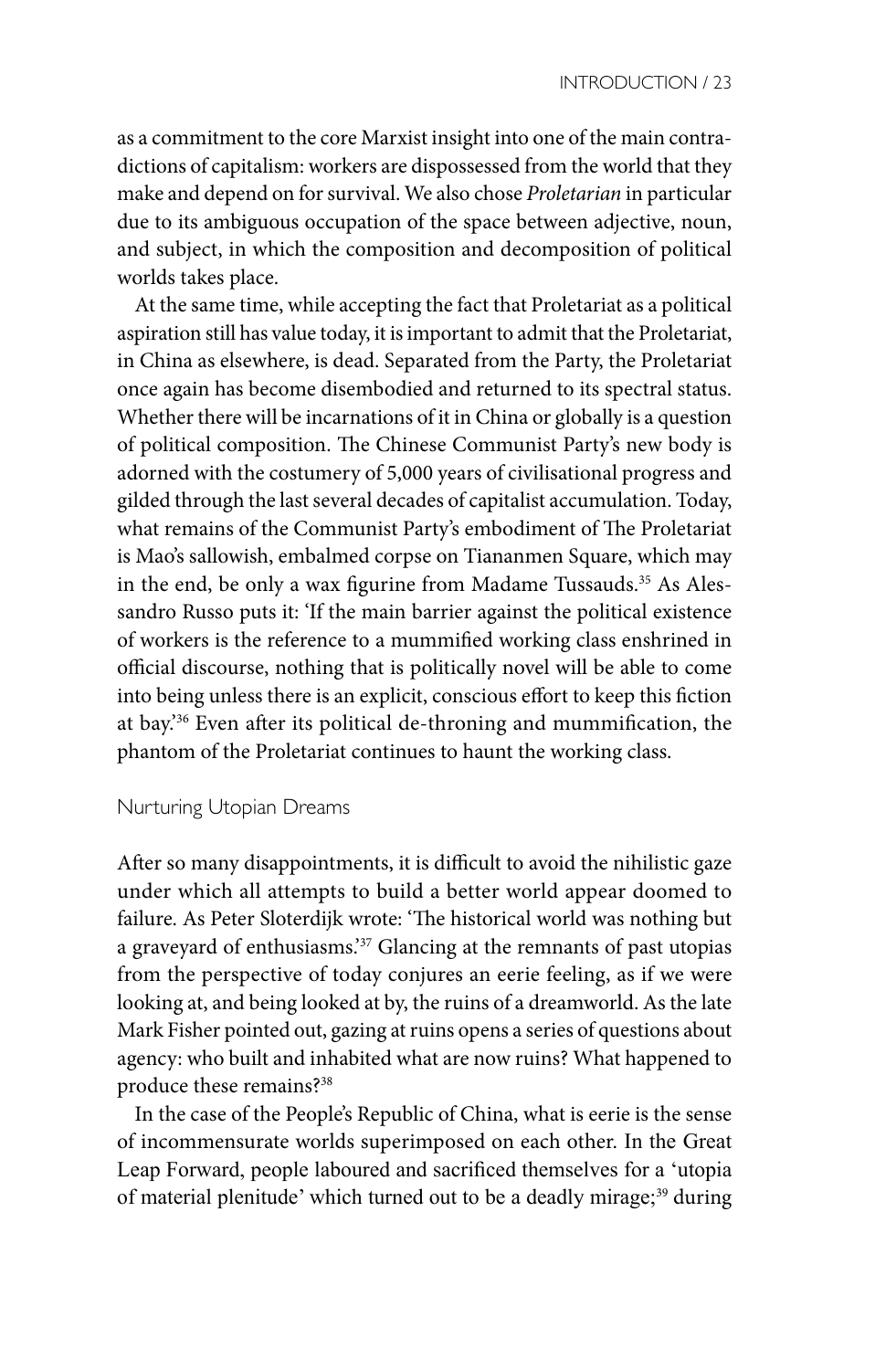as a commitment to the core Marxist insight into one of the main contradictions of capitalism: workers are dispossessed from the world that they make and depend on for survival. We also chose *Proletarian* in particular due to its ambiguous occupation of the space between adjective, noun, and subject, in which the composition and decomposition of political worlds takes place.

At the same time, while accepting the fact that Proletariat as a political aspiration still has value today, it is important to admit that the Proletariat, in China as elsewhere, is dead. Separated from the Party, the Proletariat once again has become disembodied and returned to its spectral status. Whether there will be incarnations of it in China or globally is a question of political composition. The Chinese Communist Party's new body is adorned with the costumery of 5,000 years of civilisational progress and gilded through the last several decades of capitalist accumulation. Today, what remains of the Communist Party's embodiment of The Proletariat is Mao's sallowish, embalmed corpse on Tiananmen Square, which may in the end, be only a wax figurine from Madame Tussauds.<sup>35</sup> As Alessandro Russo puts it: 'If the main barrier against the political existence of workers is the reference to a mummified working class enshrined in official discourse, nothing that is politically novel will be able to come into being unless there is an explicit, conscious effort to keep this fiction at bay.'36 Even after its political de-throning and mummification, the phantom of the Proletariat continues to haunt the working class.

### Nurturing Utopian Dreams

After so many disappointments, it is difficult to avoid the nihilistic gaze under which all attempts to build a better world appear doomed to failure. As Peter Sloterdijk wrote: 'The historical world was nothing but a graveyard of enthusiasms.'37 Glancing at the remnants of past utopias from the perspective of today conjures an eerie feeling, as if we were looking at, and being looked at by, the ruins of a dreamworld. As the late Mark Fisher pointed out, gazing at ruins opens a series of questions about agency: who built and inhabited what are now ruins? What happened to produce these remains?38

In the case of the People's Republic of China, what is eerie is the sense of incommensurate worlds superimposed on each other. In the Great Leap Forward, people laboured and sacrificed themselves for a 'utopia of material plenitude' which turned out to be a deadly mirage;<sup>39</sup> during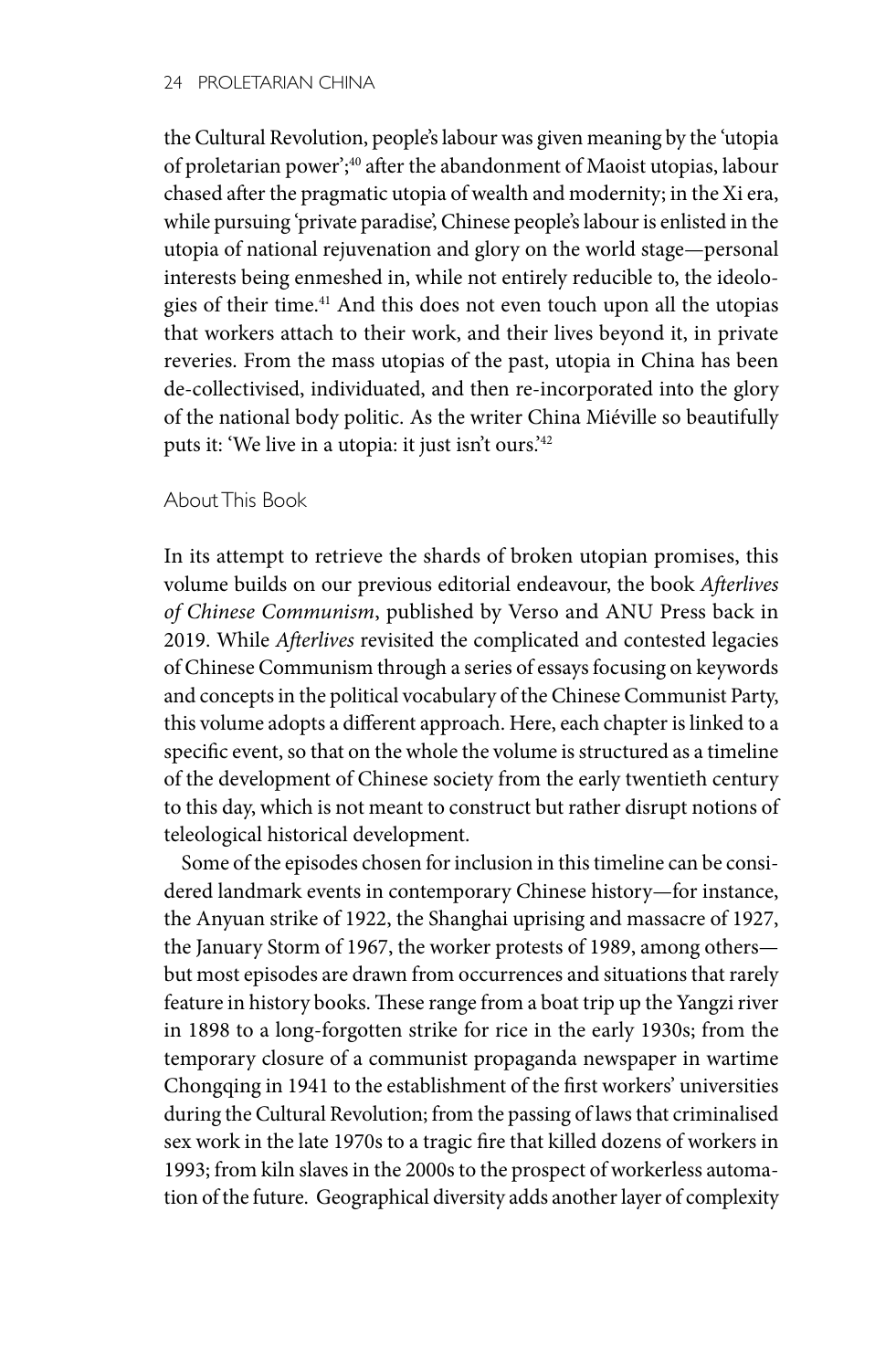the Cultural Revolution, people's labour was given meaning by the 'utopia of proletarian power';<sup>40</sup> after the abandonment of Maoist utopias, labour chased after the pragmatic utopia of wealth and modernity; in the Xi era, while pursuing 'private paradise', Chinese people's labour is enlisted in the utopia of national rejuvenation and glory on the world stage—personal interests being enmeshed in, while not entirely reducible to, the ideologies of their time.<sup>41</sup> And this does not even touch upon all the utopias that workers attach to their work, and their lives beyond it, in private reveries. From the mass utopias of the past, utopia in China has been de-collectivised, individuated, and then re-incorporated into the glory of the national body politic. As the writer China Miéville so beautifully puts it: 'We live in a utopia: it just isn't ours.'42

## About This Book

In its attempt to retrieve the shards of broken utopian promises, this volume builds on our previous editorial endeavour, the book *Afterlives of Chinese Communism*, published by Verso and ANU Press back in 2019. While *Afterlives* revisited the complicated and contested legacies of Chinese Communism through a series of essays focusing on keywords and concepts in the political vocabulary of the Chinese Communist Party, this volume adopts a different approach. Here, each chapter is linked to a specific event, so that on the whole the volume is structured as a timeline of the development of Chinese society from the early twentieth century to this day, which is not meant to construct but rather disrupt notions of teleological historical development.

Some of the episodes chosen for inclusion in this timeline can be considered landmark events in contemporary Chinese history—for instance, the Anyuan strike of 1922, the Shanghai uprising and massacre of 1927, the January Storm of 1967, the worker protests of 1989, among others but most episodes are drawn from occurrences and situations that rarely feature in history books. These range from a boat trip up the Yangzi river in 1898 to a long-forgotten strike for rice in the early 1930s; from the temporary closure of a communist propaganda newspaper in wartime Chongqing in 1941 to the establishment of the first workers' universities during the Cultural Revolution; from the passing of laws that criminalised sex work in the late 1970s to a tragic fire that killed dozens of workers in 1993; from kiln slaves in the 2000s to the prospect of workerless automation of the future. Geographical diversity adds another layer of complexity